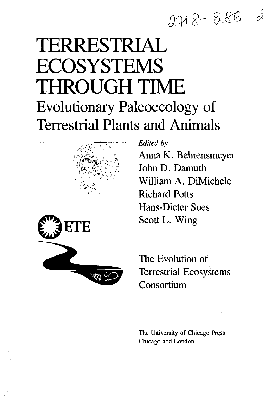## $248 - 286$

# TERRESTRIAL **ECOSYSTEMS** THROUGH TIME Evolutionary Paleoecology of Terrestrial Plants and Animals



*Edited by*

*\* Anna K. Behrensmeyer John D. Damuth William A. DiMichele Richard Potts Hans-Dieter Sues Scott L. Wing



The Evolution of Terrestrial Ecosystems **Consortium** 

The University of Chicago Press Chicago and London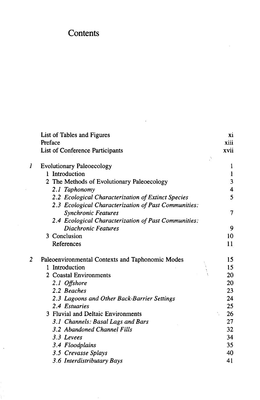## **Contents**

 $\bar{\phantom{a}}$ 

|   | List of Tables and Figures                           | хi           |
|---|------------------------------------------------------|--------------|
|   | Preface                                              | xiii         |
|   | List of Conference Participants                      | xvii<br>ð,   |
| 1 | <b>Evolutionary Paleoecology</b>                     | 1            |
|   | 1 Introduction                                       | $\mathbf{1}$ |
|   | 2 The Methods of Evolutionary Paleoecology           | 3            |
|   | 2.1 Taphonomy                                        | 4            |
|   | 2.2 Ecological Characterization of Extinct Species   | 5            |
|   | 2.3 Ecological Characterization of Past Communities: |              |
|   | <b>Synchronic Features</b>                           | 7            |
|   | 2.4 Ecological Characterization of Past Communities: |              |
|   | <b>Diachronic Features</b>                           | 9            |
|   | 3 Conclusion                                         | 10           |
|   | References                                           | 11           |
| 2 | Paleoenvironmental Contexts and Taphonomic Modes     | 15           |
|   | 1 Introduction                                       | 15           |
|   | 2 Coastal Environments                               | 20           |
|   | 2.1 Offshore                                         | 20           |
|   | 2.2 Beaches                                          | 23           |
|   | 2.3 Lagoons and Other Back-Barrier Settings          | 24           |
|   | 2.4 Estuaries                                        | 25           |
|   | 3 Fluvial and Deltaic Environments                   | 26           |
|   | 3.1 Channels: Basal Lags and Bars                    | 27           |
|   | 3.2 Abandoned Channel Fills                          | 32           |
|   | 3.3 Levees                                           | 34           |
|   | 3.4 Floodplains                                      | 35           |
|   | 3.5 Crevasse Splays                                  | 40           |
|   | 3.6 Interdistributary Bays                           | 41           |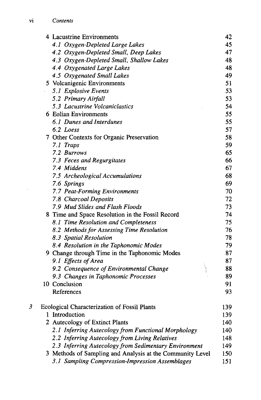|   | 4 Lacustrine Environments                                 | 42  |
|---|-----------------------------------------------------------|-----|
|   | 4.1 Oxygen-Depleted Large Lakes                           | 45  |
|   | 4.2 Oxygen-Depleted Small, Deep Lakes                     | 47  |
|   | 4.3 Oxygen-Depleted Small, Shallow Lakes                  | 48  |
|   | 4.4 Oxygenated Large Lakes                                | 48  |
|   | 4.5 Oxygenated Small Lakes                                | 49  |
|   | 5 Volcanigenic Environments                               | 51  |
|   | 5.1 Explosive Events                                      | 53  |
|   | 5.2 Primary Airfall                                       | 53  |
|   | 5.3 Lacustrine Volcaniclastics                            | 54  |
|   | 6 Eolian Environments                                     | 55  |
|   | 6.1 Dunes and Interdunes                                  | 55  |
|   | 6.2 Loess                                                 | 57  |
|   | 7 Other Contexts for Organic Preservation                 | 58  |
|   | 7.1 Traps                                                 | 59  |
|   | 7.2 Burrows                                               | 65  |
|   | 7.3 Feces and Regurgitates                                | 66  |
|   | 7.4 Middens                                               | 67  |
|   | 7.5 Archeological Accumulations                           | 68  |
|   | 7.6 Springs                                               | 69  |
|   | 7.7 Peat-Forming Environments                             | 70  |
|   | 7.8 Charcoal Deposits                                     | 72  |
|   | 7.9 Mud Slides and Flash Floods                           | 73  |
|   | 8 Time and Space Resolution in the Fossil Record          | 74  |
|   | 8.1 Time Resolution and Completeness                      | 75  |
|   | 8.2 Methods for Assessing Time Resolution                 | 76  |
|   | 8.3 Spatial Resolution                                    | 78  |
|   | 8.4 Resolution in the Taphonomic Modes                    | 79  |
|   | 9 Change through Time in the Taphonomic Modes             | 87  |
|   | 9.1 Effects of Area                                       | 87  |
|   | 9.2 Consequence of Environmental Change                   | 88  |
|   | 9.3 Changes in Taphonomic Processes                       | 89  |
|   | 10 Conclusion                                             | 91  |
|   | References                                                | 93  |
| 3 | Ecological Characterization of Fossil Plants              | 139 |
|   | 1 Introduction                                            | 139 |
|   | 2 Autecology of Extinct Plants                            | 140 |
|   | 2.1 Inferring Autecology from Functional Morphology       | 140 |
|   | 2.2 Inferring Autecology from Living Relatives            | 148 |
|   | 2.3 Inferring Autecology from Sedimentary Environment     | 149 |
|   | 3 Methods of Sampling and Analysis at the Community Level | 150 |
|   | 3.1 Sampling Compression-Impression Assemblages           | 151 |

 $\ddot{\phantom{a}}$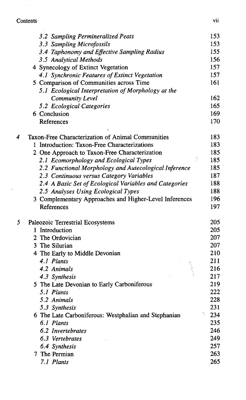### **Contents** vii

 $\tilde{Q}^{(1)}$  .

|   | 3.2 Sampling Permineralized Peats                                    | 153        |
|---|----------------------------------------------------------------------|------------|
|   | 3.3 Sampling Microfossils                                            | 153        |
|   | 3.4 Taphonomy and Effective Sampling Radius                          | 155        |
|   | 3.5 Analytical Methods                                               | 156        |
|   | 4 Synecology of Extinct Vegetation                                   | 157        |
|   | 4.1 Synchronic Features of Extinct Vegetation                        | 157        |
|   | 5 Comparison of Communities across Time                              | 161        |
|   | 5.1 Ecological Interpretation of Morphology at the                   |            |
|   | <b>Community Level</b>                                               | 162        |
|   | 5.2 Ecological Categories                                            | 165        |
|   | 6 Conclusion                                                         | 169        |
|   | References                                                           | 170        |
| 4 | Taxon-Free Characterization of Animal Communities                    | 183        |
|   | 1 Introduction: Taxon-Free Characterizations                         | 183        |
|   | 2 One Approach to Taxon-Free Characterization                        | 185        |
|   | 2.1 Ecomorphology and Ecological Types                               | 185        |
|   | 2.2 Functional Morphology and Autecological Inference                | 185        |
|   | 2.3 Continuous versus Category Variables                             | 187        |
|   | 2.4 A Basic Set of Ecological Variables and Categories               | 188        |
|   | 2.5 Analyses Using Ecological Types                                  | 188        |
|   | 3 Complementary Approaches and Higher-Level Inferences<br>References | 196<br>197 |
|   |                                                                      |            |
| 5 | Paleozoic Terrestrial Ecosystems                                     | 205        |
|   | 1 Introduction                                                       | 205        |
|   | 2 The Ordovician                                                     | 207        |
|   | 3 The Silurian                                                       | 207        |
|   | 4 The Early to Middle Devonian                                       | 210        |
|   | 4.1 Plants<br>4.2 Animals                                            | 211<br>216 |
|   |                                                                      | 217        |
|   | 4.3 Synthesis<br>5 The Late Devonian to Early Carboniferous          | 219        |
|   | 5.1 Plants                                                           | 222        |
|   | 5.2 Animals                                                          | 228        |
|   | 5.3 Synthesis                                                        | 231        |
|   | 6 The Late Carboniferous: Westphalian and Stephanian                 | 234        |
|   | 6.1 Plants                                                           | 235        |
|   | 6.2 Invertebrates                                                    | 246        |
|   | 6.3 Vertebrates                                                      | 249        |
|   | 6.4 Synthesis                                                        | 257        |
|   | 7 The Permian                                                        | 263        |
|   | 7.1 Plants                                                           | 265        |
|   |                                                                      |            |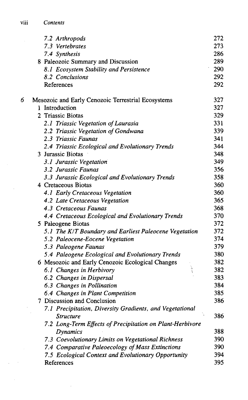|   | 7.2 Arthropods                                                               | 272 |
|---|------------------------------------------------------------------------------|-----|
|   | 7.3 Vertebrates                                                              | 273 |
|   | 7.4 Synthesis                                                                | 286 |
|   | 8 Paleozoic Summary and Discussion                                           | 289 |
|   | 8.1 Ecosystem Stability and Persistence                                      | 290 |
|   | 8.2 Conclusions                                                              | 292 |
|   | References                                                                   | 292 |
| 6 | Mesozoic and Early Cenozoic Terrestrial Ecosystems                           | 327 |
|   | 1 Introduction                                                               | 327 |
|   | 2 Triassic Biotas                                                            | 329 |
|   | 2.1 Triassic Vegetation of Laurasia                                          | 331 |
|   | 2.2 Triassic Vegetation of Gondwana                                          | 339 |
|   | 2.3 Triassic Faunas                                                          | 341 |
|   | 2.4 Triassic Ecological and Evolutionary Trends                              | 344 |
|   | 3 Jurassic Biotas                                                            | 348 |
|   | 3.1 Jurassic Vegetation                                                      | 349 |
|   | 3.2 Jurassic Faunas                                                          | 356 |
|   | 3.3 Jurassic Ecological and Evolutionary Trends                              | 358 |
|   | 4 Cretaceous Biotas                                                          | 360 |
|   | 4.1 Early Cretaceous Vegetation                                              | 360 |
|   | 4.2 Late Cretaceous Vegetation                                               | 365 |
|   | 4.3 Cretaceous Faunas                                                        | 368 |
|   | 4.4 Cretaceous Ecological and Evolutionary Trends                            | 370 |
|   | 5 Paleogene Biotas                                                           | 372 |
|   | 5.1 The K/T Boundary and Earliest Paleocene Vegetation                       | 372 |
|   | 5.2 Paleocene-Eocene Vegetation                                              | 374 |
|   | 5.3 Paleogene Faunas                                                         | 379 |
|   | 5.4 Paleogene Ecological and Evolutionary Trends                             | 380 |
|   | 6 Mesozoic and Early Cenozoic Ecological Changes<br>$\frac{1}{2}$            | 382 |
|   | 6.1 Changes in Herbivory                                                     | 382 |
|   | 6.2 Changes in Dispersal                                                     | 383 |
|   | 6.3 Changes in Pollination                                                   | 384 |
|   | 6.4 Changes in Plant Competition                                             | 385 |
|   | 7 Discussion and Conclusion                                                  | 386 |
|   | 7.1 Precipitation, Diversity Gradients, and Vegetational<br><i>Structure</i> | 386 |
|   | 7.2 Long-Term Effects of Precipitation on Plant-Herbivore                    |     |
|   | <b>Dynamics</b>                                                              | 388 |
|   | 7.3 Coevolutionary Limits on Vegetational Richness                           | 390 |
|   | 7.4 Comparative Paleoecology of Mass Extinctions                             | 390 |
|   | 7.5 Ecological Context and Evolutionary Opportunity                          | 394 |
|   | References                                                                   | 395 |

 $\sim 10^{-1}$